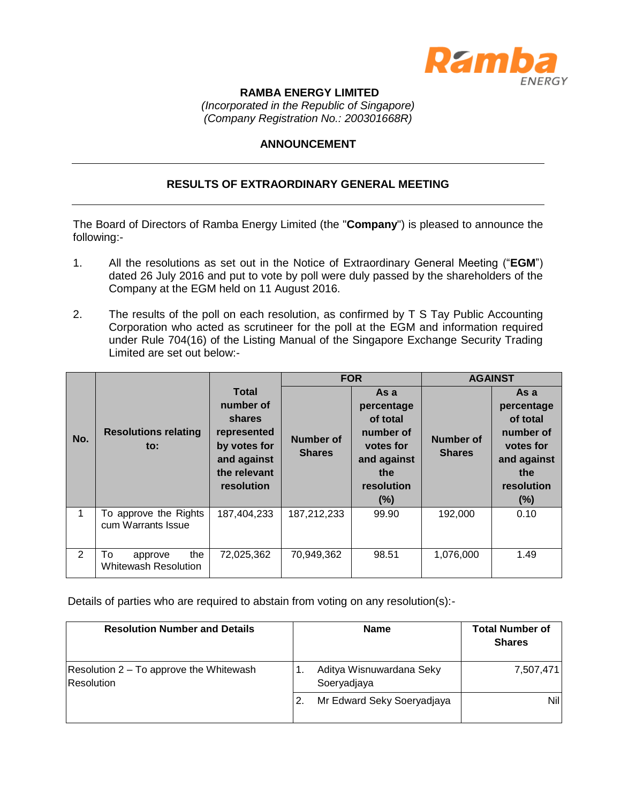

## **RAMBA ENERGY LIMITED**

*(Incorporated in the Republic of Singapore) (Company Registration No.: 200301668R)*

## **ANNOUNCEMENT**

## **RESULTS OF EXTRAORDINARY GENERAL MEETING**

The Board of Directors of Ramba Energy Limited (the "**Company**") is pleased to announce the following:-

- 1. All the resolutions as set out in the Notice of Extraordinary General Meeting ("**EGM**") dated 26 July 2016 and put to vote by poll were duly passed by the shareholders of the Company at the EGM held on 11 August 2016.
- 2. The results of the poll on each resolution, as confirmed by T S Tay Public Accounting Corporation who acted as scrutineer for the poll at the EGM and information required under Rule 704(16) of the Listing Manual of the Singapore Exchange Security Trading Limited are set out below:-

|               |                                                     |                                                                                                                 | <b>FOR</b>                        |                                                                                                     | <b>AGAINST</b>                    |                                                                                                     |
|---------------|-----------------------------------------------------|-----------------------------------------------------------------------------------------------------------------|-----------------------------------|-----------------------------------------------------------------------------------------------------|-----------------------------------|-----------------------------------------------------------------------------------------------------|
| No.           | <b>Resolutions relating</b><br>$\mathsf{to}$ :      | <b>Total</b><br>number of<br>shares<br>represented<br>by votes for<br>and against<br>the relevant<br>resolution | <b>Number of</b><br><b>Shares</b> | As a<br>percentage<br>of total<br>number of<br>votes for<br>and against<br>the<br>resolution<br>(%) | <b>Number of</b><br><b>Shares</b> | As a<br>percentage<br>of total<br>number of<br>votes for<br>and against<br>the<br>resolution<br>(%) |
|               | To approve the Rights<br>cum Warrants Issue         | 187,404,233                                                                                                     | 187,212,233                       | 99.90                                                                                               | 192,000                           | 0.10                                                                                                |
| $\mathcal{P}$ | the<br>To<br>approve<br><b>Whitewash Resolution</b> | 72,025,362                                                                                                      | 70,949,362                        | 98.51                                                                                               | 1,076,000                         | 1.49                                                                                                |

Details of parties who are required to abstain from voting on any resolution(s):-

| <b>Resolution Number and Details</b>                  | <b>Name</b>                             | <b>Total Number of</b><br><b>Shares</b> |
|-------------------------------------------------------|-----------------------------------------|-----------------------------------------|
| Resolution 2 – To approve the Whitewash<br>Resolution | Aditya Wisnuwardana Seky<br>Soeryadjaya | 7,507,471                               |
|                                                       | Mr Edward Seky Soeryadjaya              | Nill                                    |